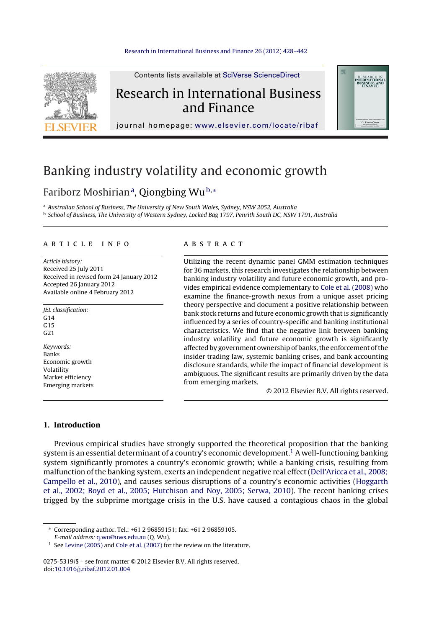

Contents lists available at SciVerse [ScienceDirect](http://www.sciencedirect.com/science/journal/02755319)

## Research in International Business and Finance



journal homepage: [www.elsevier.com/locate/ribaf](http://www.elsevier.com/locate/ribaf)

## Banking industry volatility and economic growth

### Fariborz Moshirian<sup>a</sup>, Qiongbing Wu<sup>b,∗</sup>

<sup>a</sup> Australian School of Business, The University of New South Wales, Sydney, NSW 2052, Australia <sup>b</sup> School of Business, The University of Western Sydney, Locked Bag 1797, Penrith South DC, NSW 1791, Australia

#### a r t i c l e i n f o

Article history: Received 25 July 2011 Received in revised form 24 January 2012 Accepted 26 January 2012 Available online 4 February 2012

JEL classification: G14  $G15$ G21 Keywords: Banks Economic growth Volatility Market efficiency Emerging markets

#### A B S T R A C T

Utilizing the recent dynamic panel GMM estimation techniques for 36 markets, this research investigates the relationship between banking industry volatility and future economic growth, and provides empirical evidence complementary to [Cole](#page--1-0) et [al.](#page--1-0) [\(2008\)](#page--1-0) who examine the finance-growth nexus from a unique asset pricing theory perspective and document a positive relationship between bank stock returns and future economic growth that is significantly influenced by a series of country-specific and banking institutional characteristics. We find that the negative link between banking industry volatility and future economic growth is significantly affected by government ownership of banks, the enforcement of the insider trading law, systemic banking crises, and bank accounting disclosure standards, while the impact of financial development is ambiguous. The significant results are primarily driven by the data from emerging markets.

© 2012 Elsevier B.V. All rights reserved.

#### **1. Introduction**

Previous empirical studies have strongly supported the theoretical proposition that the banking system is an essential determinant of a country's economic development.<sup>1</sup> A well-functioning banking system significantly promotes a country's economic growth; while a banking crisis, resulting from malfunction of the banking system, exerts an independent negative real effect [\(Dell'Aricca](#page--1-0) et [al.,](#page--1-0) [2008;](#page--1-0) [Campello](#page--1-0) et [al.,](#page--1-0) [2010\),](#page--1-0) and causes serious disruptions of a country's economic activities [\(Hoggarth](#page--1-0) et [al.,](#page--1-0) [2002;](#page--1-0) [Boyd](#page--1-0) et [al.,](#page--1-0) [2005;](#page--1-0) [Hutchison](#page--1-0) [and](#page--1-0) [Noy,](#page--1-0) [2005;](#page--1-0) [Serwa,](#page--1-0) [2010\).](#page--1-0) The recent banking crises trigged by the subprime mortgage crisis in the U.S. have caused a contagious chaos in the global

<sup>∗</sup> Corresponding author. Tel.: +61 2 96859151; fax: +61 2 96859105. E-mail address: [q.wu@uws.edu.au](mailto:q.wu@uws.edu.au) (Q. Wu).

<sup>&</sup>lt;sup>1</sup> See [Levine](#page--1-0) [\(2005\)](#page--1-0) and [Cole](#page--1-0) et [al.](#page--1-0) [\(2007\)](#page--1-0) for the review on the literature.

<sup>0275-5319/\$</sup> – see front matter © 2012 Elsevier B.V. All rights reserved. doi[:10.1016/j.ribaf.2012.01.004](dx.doi.org/10.1016/j.ribaf.2012.01.004)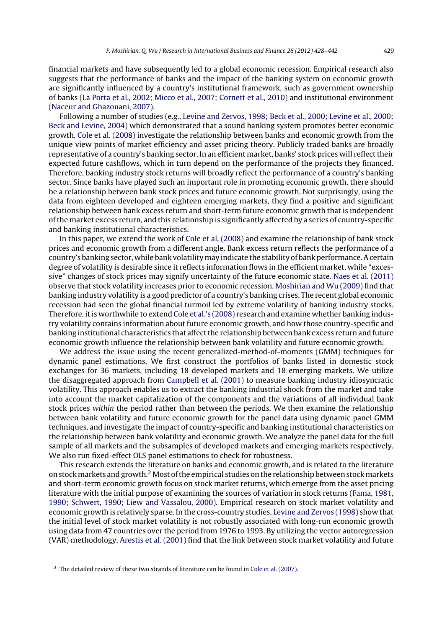financial markets and have subsequently led to a global economic recession. Empirical research also suggests that the performance of banks and the impact of the banking system on economic growth are significantly influenced by a country's institutional framework, such as government ownership of banks [\(La](#page--1-0) [Porta](#page--1-0) et [al.,](#page--1-0) [2002;](#page--1-0) [Micco](#page--1-0) et [al.,](#page--1-0) [2007;](#page--1-0) [Cornett](#page--1-0) et [al.,](#page--1-0) [2010\)](#page--1-0) and institutional environment ([Naceur](#page--1-0) [and](#page--1-0) [Ghazouani,](#page--1-0) [2007\).](#page--1-0)

Following a number of studies (e.g., [Levine](#page--1-0) [and](#page--1-0) [Zervos,](#page--1-0) [1998;](#page--1-0) [Beck](#page--1-0) et [al.,](#page--1-0) [2000;](#page--1-0) [Levine](#page--1-0) et [al.,](#page--1-0) [2000;](#page--1-0) [Beck](#page--1-0) [and](#page--1-0) [Levine,](#page--1-0) [2004\)](#page--1-0) which demonstrated that a sound banking system promotes better economic growth, [Cole](#page--1-0) et [al.](#page--1-0) [\(2008\)](#page--1-0) investigate the relationship between banks and economic growth from the unique view points of market efficiency and asset pricing theory. Publicly traded banks are broadly representative of a country's banking sector. In an efficient market, banks' stock prices will reflecttheir expected future cashflows, which in turn depend on the performance of the projects they financed. Therefore, banking industry stock returns will broadly reflect the performance of a country's banking sector. Since banks have played such an important role in promoting economic growth, there should be a relationship between bank stock prices and future economic growth. Not surprisingly, using the data from eighteen developed and eighteen emerging markets, they find a positive and significant relationship between bank excess return and short-term future economic growth that is independent ofthe market excess return, and this relationship is significantly affected by a series of country-specific and banking institutional characteristics.

In this paper, we extend the work of [Cole](#page--1-0) et [al.](#page--1-0) [\(2008\)](#page--1-0) and examine the relationship of bank stock prices and economic growth from a different angle. Bank excess return reflects the performance of a country's banking sector, while bank volatility may indicate the stability of bank performance. A certain degree of volatility is desirable since it reflects information flows in the efficient market, while "excessive" changes of stock prices may signify uncertainty of the future economic state. [Naes](#page--1-0) et [al.](#page--1-0) [\(2011\)](#page--1-0) observe that stock volatility increases prior to economic recession. [Moshirian](#page--1-0) [and](#page--1-0) [Wu](#page--1-0) [\(2009\)](#page--1-0) find that banking industry volatility is a good predictor of a country's banking crises. The recent global economic recession had seen the global financial turmoil led by extreme volatility of banking industry stocks. Therefore, it is worthwhile to extend [Cole](#page--1-0) et [al.'s](#page--1-0) [\(2008\)](#page--1-0) research and examine whether banking industry volatility contains information about future economic growth, and how those country-specific and banking institutional characteristics that affect the relationship between bank excess return and future economic growth influence the relationship between bank volatility and future economic growth.

We address the issue using the recent generalized-method-of-moments (GMM) techniques for dynamic panel estimations. We first construct the portfolios of banks listed in domestic stock exchanges for 36 markets, including 18 developed markets and 18 emerging markets. We utilize the disaggregated approach from [Campbell](#page--1-0) et [al.](#page--1-0) [\(2001\)](#page--1-0) to measure banking industry idiosyncratic volatility. This approach enables us to extract the banking industrial shock from the market and take into account the market capitalization of the components and the variations of all individual bank stock prices within the period rather than between the periods. We then examine the relationship between bank volatility and future economic growth for the panel data using dynamic panel GMM techniques, and investigate the impact of country-specific and banking institutional characteristics on the relationship between bank volatility and economic growth. We analyze the panel data for the full sample of all markets and the subsamples of developed markets and emerging markets respectively. We also run fixed-effect OLS panel estimations to check for robustness.

This research extends the literature on banks and economic growth, and is related to the literature on stock markets and growth.<sup>2</sup> Most of the empirical studies on the relationship between stock markets and short-term economic growth focus on stock market returns, which emerge from the asset pricing literature with the initial purpose of examining the sources of variation in stock returns ([Fama,](#page--1-0) [1981,](#page--1-0) [1990;](#page--1-0) [Schwert,](#page--1-0) [1990;](#page--1-0) [Liew](#page--1-0) [and](#page--1-0) [Vassalou,](#page--1-0) [2000\).](#page--1-0) Empirical research on stock market volatility and economic growth is relatively sparse. In the cross-country studies, [Levine](#page--1-0) [and](#page--1-0) [Zervos](#page--1-0) [\(1998\)](#page--1-0) show that the initial level of stock market volatility is not robustly associated with long-run economic growth using data from 47 countries over the period from 1976 to 1993. By utilizing the vector autoregression (VAR) methodology, [Arestis](#page--1-0) et [al.](#page--1-0) [\(2001\)](#page--1-0) find that the link between stock market volatility and future

<sup>&</sup>lt;sup>2</sup> The detailed review of these two strands of literature can be found in [Cole](#page--1-0) et [al.](#page--1-0) [\(2007\).](#page--1-0)